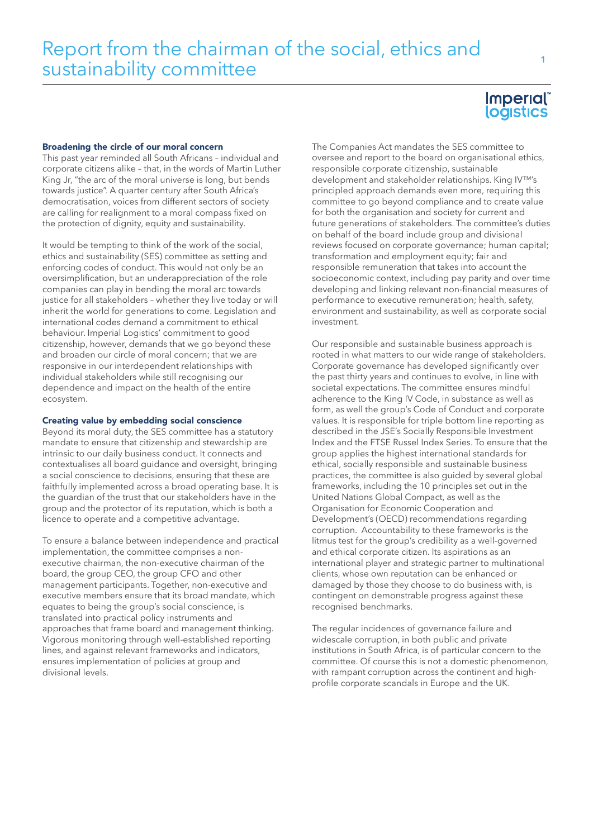### Broadening the circle of our moral concern

This past year reminded all South Africans – individual and corporate citizens alike – that, in the words of Martin Luther King Jr, "the arc of the moral universe is long, but bends towards justice". A quarter century after South Africa's democratisation, voices from different sectors of society are calling for realignment to a moral compass fixed on the protection of dignity, equity and sustainability.

It would be tempting to think of the work of the social, ethics and sustainability (SES) committee as setting and enforcing codes of conduct. This would not only be an oversimplification, but an underappreciation of the role companies can play in bending the moral arc towards justice for all stakeholders – whether they live today or will inherit the world for generations to come. Legislation and international codes demand a commitment to ethical behaviour. Imperial Logistics' commitment to good citizenship, however, demands that we go beyond these and broaden our circle of moral concern; that we are responsive in our interdependent relationships with individual stakeholders while still recognising our dependence and impact on the health of the entire ecosystem.

## Creating value by embedding social conscience

Beyond its moral duty, the SES committee has a statutory mandate to ensure that citizenship and stewardship are intrinsic to our daily business conduct. It connects and contextualises all board guidance and oversight, bringing a social conscience to decisions, ensuring that these are faithfully implemented across a broad operating base. It is the guardian of the trust that our stakeholders have in the group and the protector of its reputation, which is both a licence to operate and a competitive advantage.

To ensure a balance between independence and practical implementation, the committee comprises a nonexecutive chairman, the non-executive chairman of the board, the group CEO, the group CFO and other management participants. Together, non-executive and executive members ensure that its broad mandate, which equates to being the group's social conscience, is translated into practical policy instruments and approaches that frame board and management thinking. Vigorous monitoring through well-established reporting lines, and against relevant frameworks and indicators, ensures implementation of policies at group and divisional levels.

The Companies Act mandates the SES committee to oversee and report to the board on organisational ethics, responsible corporate citizenship, sustainable development and stakeholder relationships. King IV™'s principled approach demands even more, requiring this committee to go beyond compliance and to create value for both the organisation and society for current and future generations of stakeholders. The committee's duties on behalf of the board include group and divisional reviews focused on corporate governance; human capital; transformation and employment equity; fair and responsible remuneration that takes into account the socioeconomic context, including pay parity and over time developing and linking relevant non-financial measures of performance to executive remuneration; health, safety, environment and sustainability, as well as corporate social investment.

Our responsible and sustainable business approach is rooted in what matters to our wide range of stakeholders. Corporate governance has developed significantly over the past thirty years and continues to evolve, in line with societal expectations. The committee ensures mindful adherence to the King IV Code, in substance as well as form, as well the group's Code of Conduct and corporate values. It is responsible for triple bottom line reporting as described in the JSE's Socially Responsible Investment Index and the FTSE Russel Index Series. To ensure that the group applies the highest international standards for ethical, socially responsible and sustainable business practices, the committee is also guided by several global frameworks, including the 10 principles set out in the United Nations Global Compact, as well as the Organisation for Economic Cooperation and Development's (OECD) recommendations regarding corruption. Accountability to these frameworks is the litmus test for the group's credibility as a well-governed and ethical corporate citizen. Its aspirations as an international player and strategic partner to multinational clients, whose own reputation can be enhanced or damaged by those they choose to do business with, is contingent on demonstrable progress against these recognised benchmarks.

The regular incidences of governance failure and widescale corruption, in both public and private institutions in South Africa, is of particular concern to the committee. Of course this is not a domestic phenomenon, with rampant corruption across the continent and highprofile corporate scandals in Europe and the UK.

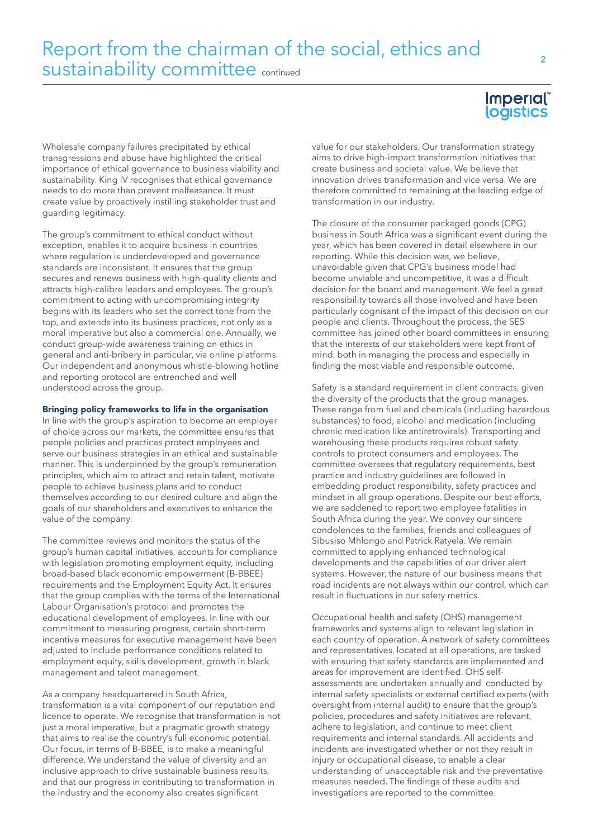# Report from the chairman of the social, ethics and sustainability committee continued

Wholesale company failures precipitated by ethical transgressions and abuse have highlighted the critical importance of ethical governance to business viability and sustainability. King IV recognises that ethical governance needs to do more than prevent malfeasance. It must create value by proactively instilling stakeholder trust and guarding legitimacy.

The group's commitment to ethical conduct without exception, enables it to acquire business in countries where regulation is underdeveloped and governance standards are inconsistent. It ensures that the group secures and renews business with high-quality clients and attracts high-calibre leaders and employees. The group's commitment to acting with uncompromising integrity begins with its leaders who set the correct tone from the top, and extends into its business practices, not only as a moral imperative but also a commercial one. Annually, we conduct group-wide awareness training on ethics in general and anti-bribery in particular, via online platforms. Our independent and anonymous whistle-blowing hotline and reporting protocol are entrenched and well understood across the group.

#### Bringing policy frameworks to life in the organisation

In line with the group's aspiration to become an employer of choice across our markets, the committee ensures that people policies and practices protect employees and serve our business strategies in an ethical and sustainable manner. This is underpinned by the group's remuneration principles, which aim to attract and retain talent, motivate people to achieve business plans and to conduct themselves according to our desired culture and align the goals of our shareholders and executives to enhance the value of the company.

The committee reviews and monitors the status of the group's human capital initiatives, accounts for compliance with legislation promoting employment equity, including broad-based black economic empowerment (B-BBEE) requirements and the Employment Equity Act. It ensures that the group complies with the terms of the International Labour Organisation's protocol and promotes the educational development of employees. In line with our commitment to measuring progress, certain short-term incentive measures for executive management have been adjusted to include performance conditions related to employment equity, skills development, growth in black management and talent management.

As a company headquartered in South Africa, transformation is a vital component of our reputation and licence to operate. We recognise that transformation is not just a moral imperative, but a pragmatic growth strategy that aims to realise the country's full economic potential. Our focus, in terms of B-BBEE, is to make a meaningful difference. We understand the value of diversity and an inclusive approach to drive sustainable business results, and that our progress in contributing to transformation in the industry and the economy also creates significant

# **Imperial** logistics

value for our stakeholders. Our transformation strategy aims to drive high-impact transformation initiatives that create business and societal value. We believe that innovation drives transformation and vice versa. We are therefore committed to remaining at the leading edge of transformation in our industry.

The closure of the consumer packaged goods (CPG) business in South Africa was a significant event during the year, which has been covered in detail elsewhere in our reporting. While this decision was, we believe, unavoidable given that CPG's business model had become unviable and uncompetitive, it was a difficult decision for the board and management. We feel a great responsibility towards all those involved and have been particularly cognisant of the impact of this decision on our people and clients. Throughout the process, the SES committee has joined other board committees in ensuring that the interests of our stakeholders were kept front of mind, both in managing the process and especially in finding the most viable and responsible outcome.

Safety is a standard requirement in client contracts, given the diversity of the products that the group manages. These range from fuel and chemicals (including hazardous substances) to food, alcohol and medication (including chronic medication like antiretrovirals). Transporting and warehousing these products requires robust safety controls to protect consumers and employees. The committee oversees that regulatory requirements, best practice and industry guidelines are followed in embedding product responsibility, safety practices and mindset in all group operations. Despite our best efforts, we are saddened to report two employee fatalities in South Africa during the year. We convey our sincere condolences to the families, friends and colleagues of Sibusiso Mhlongo and Patrick Ratyela. We remain committed to applying enhanced technological developments and the capabilities of our driver alert systems. However, the nature of our business means that road incidents are not always within our control, which can result in fluctuations in our safety metrics.

Occupational health and safety (OHS) management frameworks and systems align to relevant legislation in each country of operation. A network of safety committees and representatives, located at all operations, are tasked with ensuring that safety standards are implemented and areas for improvement are identified. OHS selfassessments are undertaken annually and conducted by internal safety specialists or external certified experts (with oversight from internal audit) to ensure that the group's policies, procedures and safety initiatives are relevant, adhere to legislation, and continue to meet client requirements and internal standards. All accidents and incidents are investigated whether or not they result in injury or occupational disease, to enable a clear understanding of unacceptable risk and the preventative measures needed. The findings of these audits and investigations are reported to the committee.